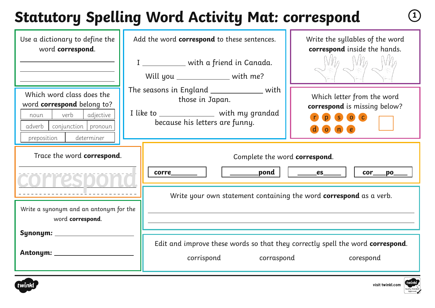# **Statutory Spelling Word Activity Mat: correspond <sup>1</sup>**

| Use a dictionary to define the<br>word correspond.                                                                                                   | Add the word correspond to these sentences.<br>I ____________ with a friend in Canada.<br>Will you ____________ with me?                       | Write the syllables of the word<br>correspond inside the hands.                                                                                                                                                                                                                                                                                                                       |
|------------------------------------------------------------------------------------------------------------------------------------------------------|------------------------------------------------------------------------------------------------------------------------------------------------|---------------------------------------------------------------------------------------------------------------------------------------------------------------------------------------------------------------------------------------------------------------------------------------------------------------------------------------------------------------------------------------|
| Which word class does the<br>word correspond belong to?<br>adjective<br>verb<br>noun<br>adverb<br>conjunction   pronoun<br>determiner<br>preposition | The seasons in England _______________ with<br>those in Japan.<br>I like to ________________ with my grandad<br>because his letters are funny. | Which letter from the word<br>correspond is missing below?<br>$S$ 0 $C$<br>o(n)                                                                                                                                                                                                                                                                                                       |
| Trace the word correspond.                                                                                                                           | Complete the word correspond.<br>$\rule{1em}{0.15mm}$ pond $\vert$<br><b>corre</b>                                                             | $\rule{1em}{0.15mm}$ $\qquad \qquad$ $\qquad \qquad$ $\qquad \qquad$ $\qquad \qquad$ $\qquad \qquad$ $\qquad \qquad$ $\qquad \qquad$ $\qquad$ $\qquad \qquad$ $\qquad$ $\qquad$ $\qquad$ $\qquad$ $\qquad$ $\qquad$ $\qquad$ $\qquad$ $\qquad$ $\qquad$ $\qquad$ $\qquad$ $\qquad$ $\qquad$ $\qquad$ $\qquad$ $\qquad$ $\qquad$ $\qquad$ $\qquad$ $\qquad$ $\$<br>cor<br>$p$ o $\_\_$ |
| Write a synonym and an antonym for the<br>word correspond.                                                                                           | Write your own statement containing the word <b>correspond</b> as a verb.                                                                      |                                                                                                                                                                                                                                                                                                                                                                                       |
| Synonym: __________<br>Antonym: __________                                                                                                           | Edit and improve these words so that they correctly spell the word correspond.<br>corrispond<br>corraspond                                     | corespond                                                                                                                                                                                                                                                                                                                                                                             |



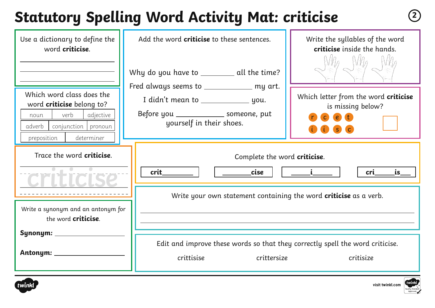# **Statutory Spelling Word Activity Mat: criticise <sup>2</sup>**

| Use a dictionary to define the<br>word <b>criticise</b> .                                                                                                  | Add the word <b>criticise</b> to these sentences.<br>Why do you have to _________ all the time?                   | Write the syllables of the word<br>criticise inside the hands.               |
|------------------------------------------------------------------------------------------------------------------------------------------------------------|-------------------------------------------------------------------------------------------------------------------|------------------------------------------------------------------------------|
| Which word class does the<br>word <b>criticise</b> belong to?<br>verb<br>adjective<br>noun<br>conjunction   pronoun<br>adverb<br>determiner<br>preposition | Fred always seems to ____________ my art.<br>Before you ________________ someone, put<br>yourself in their shoes. | Which letter from the word criticise<br>is missing below?<br>$\epsilon$<br>S |
| Trace the word <b>criticise</b> .                                                                                                                          | Complete the word criticise.<br>crit<br>cise<br>Write your own statement containing the word criticise as a verb. | cri<br>is                                                                    |
| Write a synonym and an antonym for<br>the word <b>criticise</b> .<br>Synonym: ___________                                                                  |                                                                                                                   |                                                                              |
| Antonym: ___________                                                                                                                                       | Edit and improve these words so that they correctly spell the word criticise.<br>crittisise<br>crittersize        | critisize                                                                    |



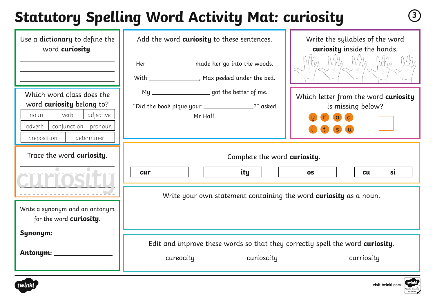# **Statutory Spelling Word Activity Mat: curiosity <sup>3</sup>**

| Use a dictionary to define the<br>word curiosity.                                                                                                          | Add the word <b>curiosity</b> to these sentences.<br>Her _______________ made her go into the woods.<br>With _________________, Max peeked under the bed. | Write the syllables of the word<br>curiosity inside the hands.<br>$N_{\theta}$ $N_{\theta}$ $N_{\theta}$<br>$\sqrt{ \cdot }/\rho$ |
|------------------------------------------------------------------------------------------------------------------------------------------------------------|-----------------------------------------------------------------------------------------------------------------------------------------------------------|-----------------------------------------------------------------------------------------------------------------------------------|
| Which word class does the<br>word <b>curiosity</b> belong to?<br>verb<br>adjective<br>noun<br>adverb  <br>conjunction pronoun<br>determiner<br>preposition | My _______________________ got the better of me.<br>"Did the book pique your ________________?" asked<br>Mr Hall.                                         | Which letter from the word curiosity<br>is missing below?<br>$\overline{c}$<br>$\overline{O}$<br>S.                               |
| Trace the word curiosity.                                                                                                                                  | Complete the word curiosity.<br>_ity<br>cur_<br>Write your own statement containing the word <b>curiosity</b> as a noun.                                  | <u>_si____</u><br>$\rule{1em}{0.15mm}$ $\rule{1em}{0.15mm}$<br>cu                                                                 |
| Write a synonym and an antonym<br>for the word <b>curiosity</b> .<br>Synonym: _<br>Antonym: __________                                                     | Edit and improve these words so that they correctly spell the word curiosity.<br>cureocity<br>curioscity                                                  | curriosity                                                                                                                        |



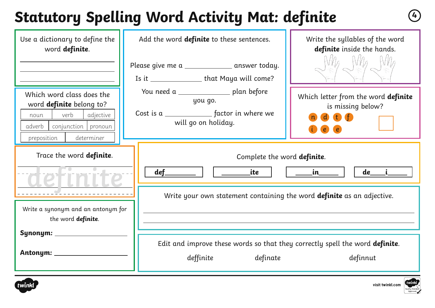# **Statutory Spelling Word Activity Mat: definite <sup>4</sup>**

| Use a dictionary to define the<br>word definite.                                                                                                   | Add the word <b>definite</b> to these sentences.<br>Please give me a _______________ answer today.<br>Is it ________________ that Maya will come? | Write the syllables of the word<br>definite inside the hands.                                                  |
|----------------------------------------------------------------------------------------------------------------------------------------------------|---------------------------------------------------------------------------------------------------------------------------------------------------|----------------------------------------------------------------------------------------------------------------|
| Which word class does the<br>word definite belong to?<br>verb<br>adjective<br>noun<br>adverb<br>conjunction   pronoun<br>determiner<br>preposition | You need a _________________ plan before<br>you go.<br>Cost is a _________________ factor in where we<br>will go on holiday.                      | Which letter from the word definite<br>is missing below?<br>d t f<br>$\epsilon$<br>$\left( \mathbf{e} \right)$ |
| Trace the word definite.<br>Write a synonym and an antonym for<br>the word definite.                                                               | Complete the word definite.<br>ite<br>$\operatorname{\sf def\_}$<br>Write your own statement containing the word definite as an adjective.        | $\qquad \qquad \ldots$<br>de                                                                                   |
| Symonym:<br>Antonym: _                                                                                                                             | Edit and improve these words so that they correctly spell the word definite.<br>deffinite<br>definate                                             | definnut                                                                                                       |